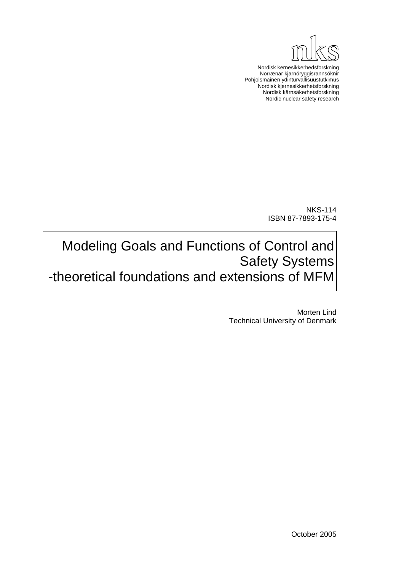

Nordisk kernesikkerhedsforskning Norrænar kjarnöryggisrannsóknir Pohjoismainen ydinturvallisuustutkimus Nordisk kjernesikkerhetsforskning Nordisk kärnsäkerhetsforskning Nordic nuclear safety research

> NKS-114 ISBN 87-7893-175-4

Modeling Goals and Functions of Control and Safety Systems -theoretical foundations and extensions of MFM

> Morten Lind Technical University of Denmark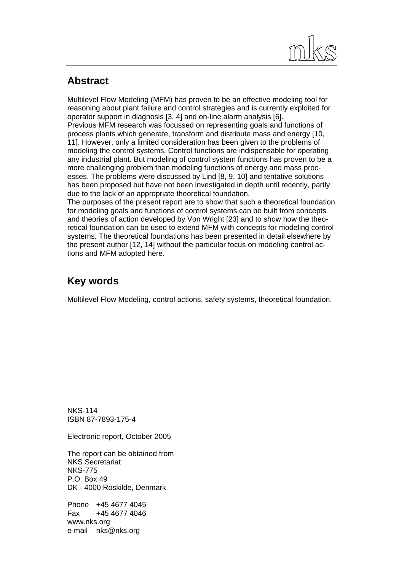

### **Abstract**

Multilevel Flow Modeling (MFM) has proven to be an effective modeling tool for reasoning about plant failure and control strategies and is currently exploited for operator support in diagnosis [3, 4] and on-line alarm analysis [6]. Previous MFM research was focussed on representing goals and functions of process plants which generate, transform and distribute mass and energy [10, 11]. However, only a limited consideration has been given to the problems of modeling the control systems. Control functions are indispensable for operating any industrial plant. But modeling of control system functions has proven to be a more challenging problem than modeling functions of energy and mass processes. The problems were discussed by Lind [8, 9, 10] and tentative solutions has been proposed but have not been investigated in depth until recently, partly due to the lack of an appropriate theoretical foundation.

The purposes of the present report are to show that such a theoretical foundation for modeling goals and functions of control systems can be built from concepts and theories of action developed by Von Wright [23] and to show how the theoretical foundation can be used to extend MFM with concepts for modeling control systems. The theoretical foundations has been presented in detail elsewhere by the present author [12, 14] without the particular focus on modeling control actions and MFM adopted here.

### **Key words**

Multilevel Flow Modeling, control actions, safety systems, theoretical foundation.

NKS-114 ISBN 87-7893-175-4

Electronic report, October 2005

The report can be obtained from NKS Secretariat NKS-775 P.O. Box 49 DK - 4000 Roskilde, Denmark

Phone +45 4677 4045 Fax +45 4677 4046 www.nks.org e-mail nks@nks.org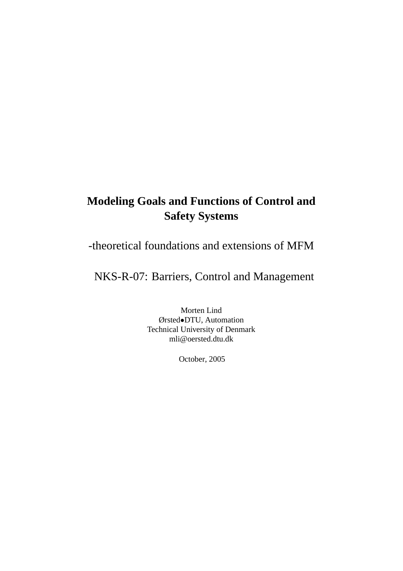### **Modeling Goals and Functions of Control and Safety Systems**

### -theoretical foundations and extensions of MFM

NKS-R-07: Barriers, Control and Management

Morten Lind Ørsted•DTU, Automation Technical University of Denmark mli@oersted.dtu.dk

October, 2005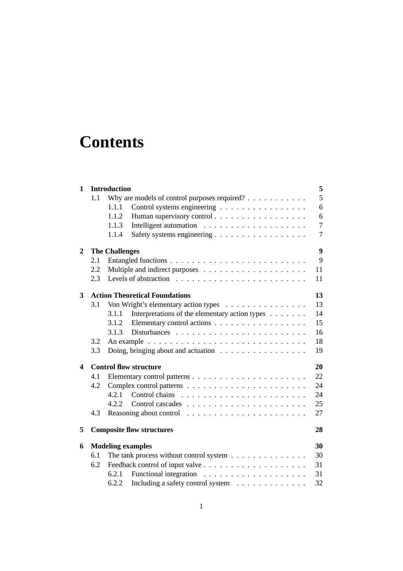# **Contents**

| 1 |     | <b>Introduction</b>                                                      | 5              |
|---|-----|--------------------------------------------------------------------------|----------------|
|   | 1.1 | Why are models of control purposes required? $\ldots$                    | 5              |
|   |     | Control systems engineering<br>1.1.1                                     | 6              |
|   |     | Human supervisory control<br>1.1.2                                       | 6              |
|   |     | 1.1.3                                                                    | $\overline{7}$ |
|   |     | Safety systems engineering<br>1.1.4                                      | $\overline{7}$ |
| 2 |     | <b>The Challenges</b>                                                    | 9              |
|   | 2.1 |                                                                          | 9              |
|   | 2.2 |                                                                          | 11             |
|   | 2.3 |                                                                          | 11             |
| 3 |     | <b>Action Theoretical Foundations</b>                                    | 13             |
|   | 3.1 | Von Wright's elementary action types                                     | 13             |
|   |     | Interpretations of the elementary action types<br>3.1.1                  | 14             |
|   |     | Elementary control actions<br>3.1.2                                      | 15             |
|   |     | 3.1.3                                                                    | 16             |
|   | 3.2 |                                                                          | 18             |
|   | 3.3 | Doing, bringing about and actuation $\ldots \ldots \ldots \ldots \ldots$ | 19             |
| 4 |     | <b>Control flow structure</b>                                            | 20             |
|   | 4.1 |                                                                          | 22             |
|   | 4.2 |                                                                          | 24             |
|   |     | 4.2.1                                                                    | 24             |
|   |     | 422                                                                      | 25             |
|   | 4.3 |                                                                          | 27             |
| 5 |     | <b>Composite flow structures</b>                                         | 28             |
| 6 |     | <b>Modeling examples</b>                                                 | 30             |
|   | 6.1 | The tank process without control system                                  | 30             |
|   | 6.2 |                                                                          | 31             |
|   |     | 6.2.1                                                                    | 31             |
|   |     | Including a safety control system<br>6.2.2                               | 32             |
|   |     |                                                                          |                |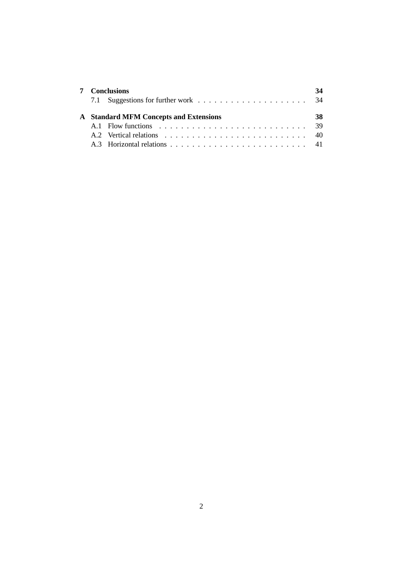|  | <b>Conclusions</b>                                                                                  |  |
|--|-----------------------------------------------------------------------------------------------------|--|
|  |                                                                                                     |  |
|  | <b>A</b> Standard MFM Concepts and Extensions                                                       |  |
|  |                                                                                                     |  |
|  |                                                                                                     |  |
|  | A.3 Horizontal relations $\ldots$ $\ldots$ $\ldots$ $\ldots$ $\ldots$ $\ldots$ $\ldots$ $\ldots$ 41 |  |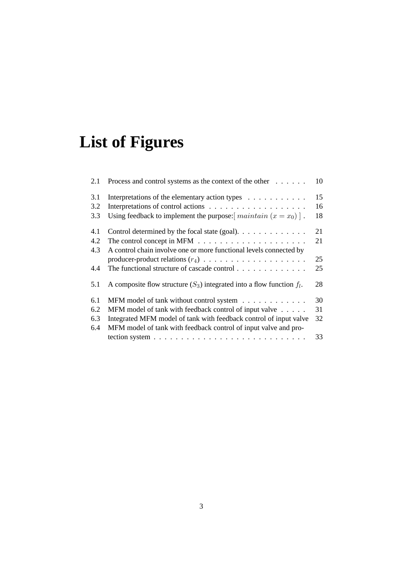# **List of Figures**

| 2.1 | Process and control systems as the context of the other                         | 10 |
|-----|---------------------------------------------------------------------------------|----|
| 3.1 | Interpretations of the elementary action types                                  | 15 |
| 3.2 |                                                                                 | 16 |
| 3.3 | Using feedback to implement the purpose: $\lceil$ maintain $(x = x_0) \rceil$ . | 18 |
| 4.1 | Control determined by the focal state (goal). $\dots \dots \dots \dots$         | 21 |
| 4.2 | The control concept in MFM $\ldots \ldots \ldots \ldots \ldots \ldots \ldots$   | 21 |
| 4.3 | A control chain involve one or more functional levels connected by              |    |
|     |                                                                                 | 25 |
| 4.4 | The functional structure of cascade control $\dots \dots \dots \dots$           | 25 |
| 5.1 | A composite flow structure $(S_3)$ integrated into a flow function $f_1$ .      | 28 |
| 6.1 | MFM model of tank without control system                                        | 30 |
| 6.2 | MFM model of tank with feedback control of input valve                          | 31 |
| 6.3 | Integrated MFM model of tank with feedback control of input valve               | 32 |
| 6.4 | MFM model of tank with feedback control of input valve and pro-                 |    |
|     |                                                                                 | 33 |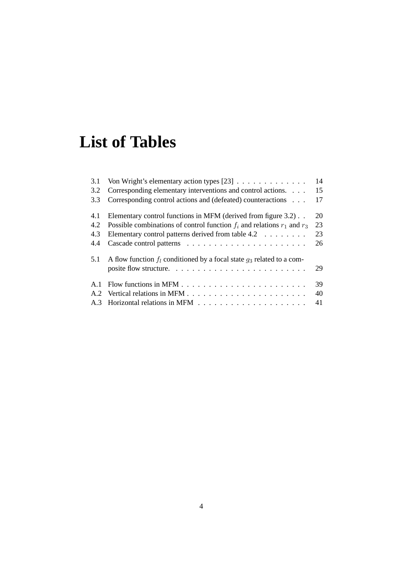# **List of Tables**

| 3.1 |                                                                               | 14 |
|-----|-------------------------------------------------------------------------------|----|
| 3.2 | Corresponding elementary interventions and control actions.                   | 15 |
| 3.3 | Corresponding control actions and (defeated) counteractions                   | 17 |
| 4.1 | Elementary control functions in MFM (derived from figure 3.2).                | 20 |
| 4.2 | Possible combinations of control function $f_i$ and relations $r_1$ and $r_3$ | 23 |
| 4.3 | Elementary control patterns derived from table $4.2 \ldots \ldots$            | 23 |
| 4.4 |                                                                               | 26 |
| 5.1 | A flow function $f_l$ conditioned by a focal state $g_3$ related to a com-    |    |
|     |                                                                               | 29 |
| A.1 |                                                                               | 39 |
|     |                                                                               | 40 |
|     |                                                                               | 41 |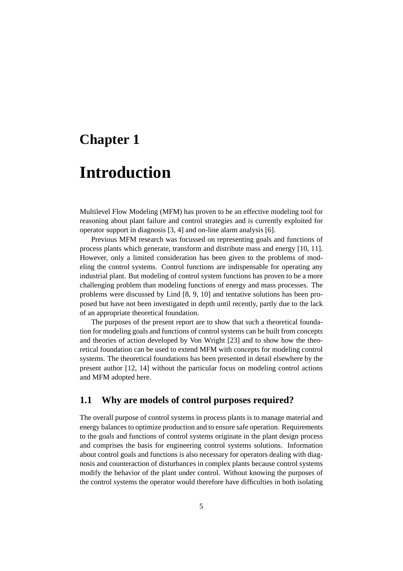### **Chapter 1**

## **Introduction**

Multilevel Flow Modeling (MFM) has proven to be an effective modeling tool for reasoning about plant failure and control strategies and is currently exploited for operator support in diagnosis [3, 4] and on-line alarm analysis [6].

Previous MFM research was focussed on representing goals and functions of process plants which generate, transform and distribute mass and energy [10, 11]. However, only a limited consideration has been given to the problems of modeling the control systems. Control functions are indispensable for operating any industrial plant. But modeling of control system functions has proven to be a more challenging problem than modeling functions of energy and mass processes. The problems were discussed by Lind [8, 9, 10] and tentative solutions has been proposed but have not been investigated in depth until recently, partly due to the lack of an appropriate theoretical foundation.

The purposes of the present report are to show that such a theoretical foundation for modeling goals and functions of control systems can be built from concepts and theories of action developed by Von Wright [23] and to show how the theoretical foundation can be used to extend MFM with concepts for modeling control systems. The theoretical foundations has been presented in detail elsewhere by the present author [12, 14] without the particular focus on modeling control actions and MFM adopted here.

### **1.1 Why are models of control purposes required?**

The overall purpose of control systems in process plants is to manage material and energy balances to optimize production and to ensure safe operation. Requirements to the goals and functions of control systems originate in the plant design process and comprises the basis for engineering control systems solutions. Information about control goals and functions is also necessary for operators dealing with diagnosis and counteraction of disturbances in complex plants because control systems modify the behavior of the plant under control. Without knowing the purposes of the control systems the operator would therefore have difficulties in both isolating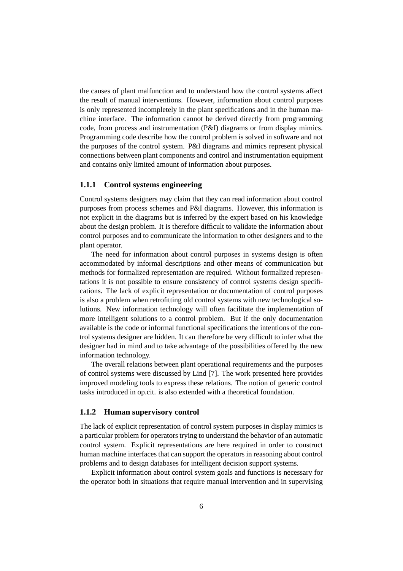the causes of plant malfunction and to understand how the control systems affect the result of manual interventions. However, information about control purposes is only represented incompletely in the plant specifications and in the human machine interface. The information cannot be derived directly from programming code, from process and instrumentation (P&I) diagrams or from display mimics. Programming code describe how the control problem is solved in software and not the purposes of the control system. P&I diagrams and mimics represent physical connections between plant components and control and instrumentation equipment and contains only limited amount of information about purposes.

#### **1.1.1 Control systems engineering**

Control systems designers may claim that they can read information about control purposes from process schemes and P&I diagrams. However, this information is not explicit in the diagrams but is inferred by the expert based on his knowledge about the design problem. It is therefore difficult to validate the information about control purposes and to communicate the information to other designers and to the plant operator.

The need for information about control purposes in systems design is often accommodated by informal descriptions and other means of communication but methods for formalized representation are required. Without formalized representations it is not possible to ensure consistency of control systems design specifications. The lack of explicit representation or documentation of control purposes is also a problem when retrofitting old control systems with new technological solutions. New information technology will often facilitate the implementation of more intelligent solutions to a control problem. But if the only documentation available is the code or informal functional specifications the intentions of the control systems designer are hidden. It can therefore be very difficult to infer what the designer had in mind and to take advantage of the possibilities offered by the new information technology.

The overall relations between plant operational requirements and the purposes of control systems were discussed by Lind [7]. The work presented here provides improved modeling tools to express these relations. The notion of generic control tasks introduced in op.cit. is also extended with a theoretical foundation.

#### **1.1.2 Human supervisory control**

The lack of explicit representation of control system purposes in display mimics is a particular problem for operators trying to understand the behavior of an automatic control system. Explicit representations are here required in order to construct human machine interfaces that can support the operators in reasoning about control problems and to design databases for intelligent decision support systems.

Explicit information about control system goals and functions is necessary for the operator both in situations that require manual intervention and in supervising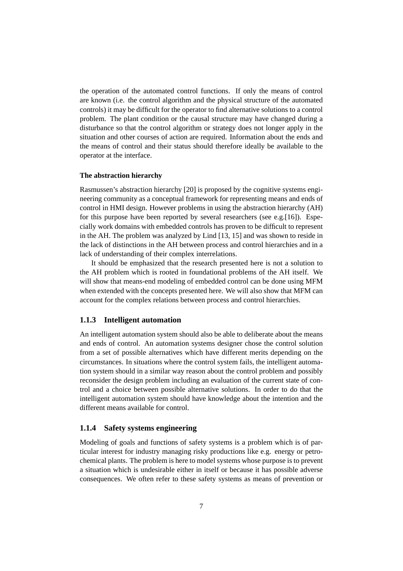the operation of the automated control functions. If only the means of control are known (i.e. the control algorithm and the physical structure of the automated controls) it may be difficult for the operator to find alternative solutions to a control problem. The plant condition or the causal structure may have changed during a disturbance so that the control algorithm or strategy does not longer apply in the situation and other courses of action are required. Information about the ends and the means of control and their status should therefore ideally be available to the operator at the interface.

#### **The abstraction hierarchy**

Rasmussen's abstraction hierarchy [20] is proposed by the cognitive systems engineering community as a conceptual framework for representing means and ends of control in HMI design. However problems in using the abstraction hierarchy (AH) for this purpose have been reported by several researchers (see e.g.[16]). Especially work domains with embedded controls has proven to be difficult to represent in the AH. The problem was analyzed by Lind [13, 15] and was shown to reside in the lack of distinctions in the AH between process and control hierarchies and in a lack of understanding of their complex interrelations.

It should be emphasized that the research presented here is not a solution to the AH problem which is rooted in foundational problems of the AH itself. We will show that means-end modeling of embedded control can be done using MFM when extended with the concepts presented here. We will also show that MFM can account for the complex relations between process and control hierarchies.

#### **1.1.3 Intelligent automation**

An intelligent automation system should also be able to deliberate about the means and ends of control. An automation systems designer chose the control solution from a set of possible alternatives which have different merits depending on the circumstances. In situations where the control system fails, the intelligent automation system should in a similar way reason about the control problem and possibly reconsider the design problem including an evaluation of the current state of control and a choice between possible alternative solutions. In order to do that the intelligent automation system should have knowledge about the intention and the different means available for control.

#### **1.1.4 Safety systems engineering**

Modeling of goals and functions of safety systems is a problem which is of particular interest for industry managing risky productions like e.g. energy or petrochemical plants. The problem is here to model systems whose purpose is to prevent a situation which is undesirable either in itself or because it has possible adverse consequences. We often refer to these safety systems as means of prevention or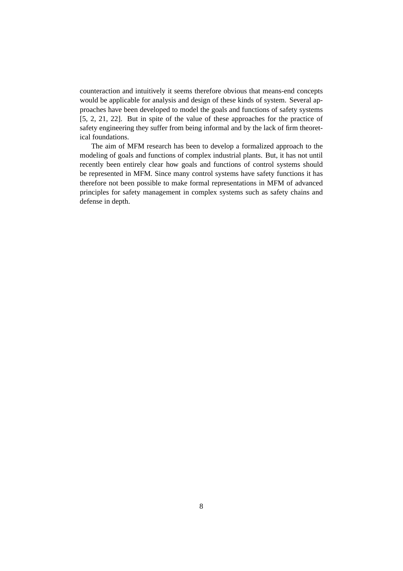counteraction and intuitively it seems therefore obvious that means-end concepts would be applicable for analysis and design of these kinds of system. Several approaches have been developed to model the goals and functions of safety systems [5, 2, 21, 22]. But in spite of the value of these approaches for the practice of safety engineering they suffer from being informal and by the lack of firm theoretical foundations.

The aim of MFM research has been to develop a formalized approach to the modeling of goals and functions of complex industrial plants. But, it has not until recently been entirely clear how goals and functions of control systems should be represented in MFM. Since many control systems have safety functions it has therefore not been possible to make formal representations in MFM of advanced principles for safety management in complex systems such as safety chains and defense in depth.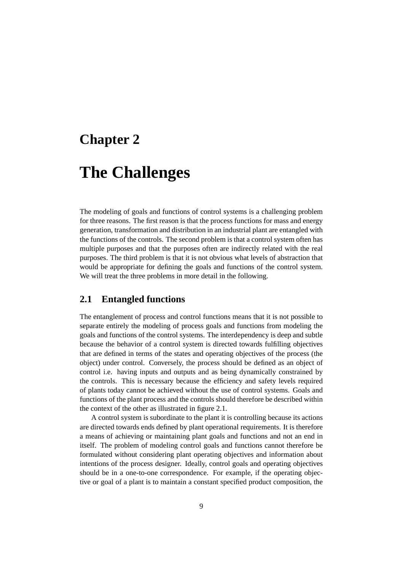### **Chapter 2**

## **The Challenges**

The modeling of goals and functions of control systems is a challenging problem for three reasons. The first reason is that the process functions for mass and energy generation, transformation and distribution in an industrial plant are entangled with the functions of the controls. The second problem is that a control system often has multiple purposes and that the purposes often are indirectly related with the real purposes. The third problem is that it is not obvious what levels of abstraction that would be appropriate for defining the goals and functions of the control system. We will treat the three problems in more detail in the following.

### **2.1 Entangled functions**

The entanglement of process and control functions means that it is not possible to separate entirely the modeling of process goals and functions from modeling the goals and functions of the control systems. The interdependency is deep and subtle because the behavior of a control system is directed towards fulfilling objectives that are defined in terms of the states and operating objectives of the process (the object) under control. Conversely, the process should be defined as an object of control i.e. having inputs and outputs and as being dynamically constrained by the controls. This is necessary because the efficiency and safety levels required of plants today cannot be achieved without the use of control systems. Goals and functions of the plant process and the controls should therefore be described within the context of the other as illustrated in figure 2.1.

A control system is subordinate to the plant it is controlling because its actions are directed towards ends defined by plant operational requirements. It is therefore a means of achieving or maintaining plant goals and functions and not an end in itself. The problem of modeling control goals and functions cannot therefore be formulated without considering plant operating objectives and information about intentions of the process designer. Ideally, control goals and operating objectives should be in a one-to-one correspondence. For example, if the operating objective or goal of a plant is to maintain a constant specified product composition, the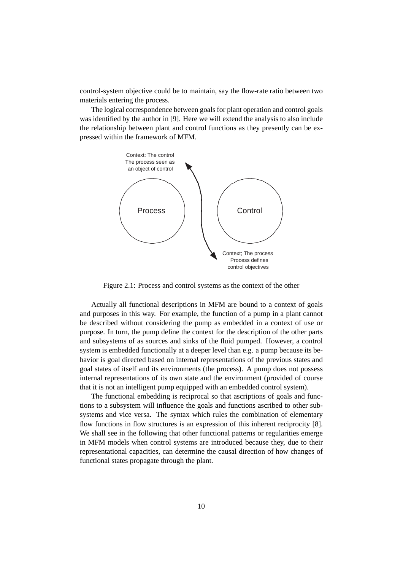control-system objective could be to maintain, say the flow-rate ratio between two materials entering the process.

The logical correspondence between goals for plant operation and control goals was identified by the author in [9]. Here we will extend the analysis to also include the relationship between plant and control functions as they presently can be expressed within the framework of MFM.



Figure 2.1: Process and control systems as the context of the other

Actually all functional descriptions in MFM are bound to a context of goals and purposes in this way. For example, the function of a pump in a plant cannot be described without considering the pump as embedded in a context of use or purpose. In turn, the pump define the context for the description of the other parts and subsystems of as sources and sinks of the fluid pumped. However, a control system is embedded functionally at a deeper level than e.g. a pump because its behavior is goal directed based on internal representations of the previous states and goal states of itself and its environments (the process). A pump does not possess internal representations of its own state and the environment (provided of course that it is not an intelligent pump equipped with an embedded control system).

The functional embedding is reciprocal so that ascriptions of goals and functions to a subsystem will influence the goals and functions ascribed to other subsystems and vice versa. The syntax which rules the combination of elementary flow functions in flow structures is an expression of this inherent reciprocity [8]. We shall see in the following that other functional patterns or regularities emerge in MFM models when control systems are introduced because they, due to their representational capacities, can determine the causal direction of how changes of functional states propagate through the plant.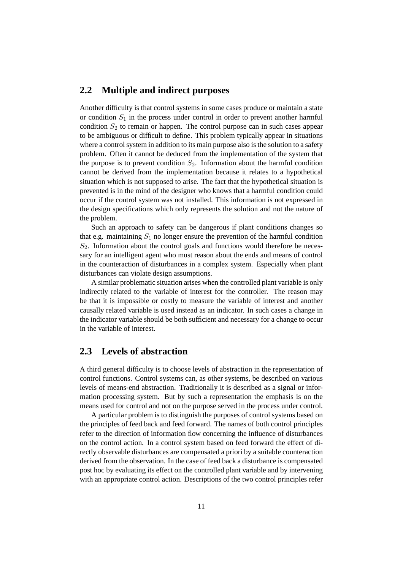### **2.2 Multiple and indirect purposes**

Another difficulty is that control systems in some cases produce or maintain a state or condition  $S_1$  in the process under control in order to prevent another harmful condition  $S_2$  to remain or happen. The control purpose can in such cases appear to be ambiguous or difficult to define. This problem typically appear in situations where a control system in addition to its main purpose also is the solution to a safety problem. Often it cannot be deduced from the implementation of the system that the purpose is to prevent condition  $S_2$ . Information about the harmful condition cannot be derived from the implementation because it relates to a hypothetical situation which is not supposed to arise. The fact that the hypothetical situation is prevented is in the mind of the designer who knows that a harmful condition could occur if the control system was not installed. This information is not expressed in the design specifications which only represents the solution and not the nature of the problem.

Such an approach to safety can be dangerous if plant conditions changes so that e.g. maintaining  $S_1$  no longer ensure the prevention of the harmful condition  $S<sub>2</sub>$ . Information about the control goals and functions would therefore be necessary for an intelligent agent who must reason about the ends and means of control in the counteraction of disturbances in a complex system. Especially when plant disturbances can violate design assumptions.

A similar problematic situation arises when the controlled plant variable is only indirectly related to the variable of interest for the controller. The reason may be that it is impossible or costly to measure the variable of interest and another causally related variable is used instead as an indicator. In such cases a change in the indicator variable should be both sufficient and necessary for a change to occur in the variable of interest.

### **2.3 Levels of abstraction**

A third general difficulty is to choose levels of abstraction in the representation of control functions. Control systems can, as other systems, be described on various levels of means-end abstraction. Traditionally it is described as a signal or information processing system. But by such a representation the emphasis is on the means used for control and not on the purpose served in the process under control.

A particular problem is to distinguish the purposes of control systems based on the principles of feed back and feed forward. The names of both control principles refer to the direction of information flow concerning the influence of disturbances on the control action. In a control system based on feed forward the effect of directly observable disturbances are compensated a priori by a suitable counteraction derived from the observation. In the case of feed back a disturbance is compensated post hoc by evaluating its effect on the controlled plant variable and by intervening with an appropriate control action. Descriptions of the two control principles refer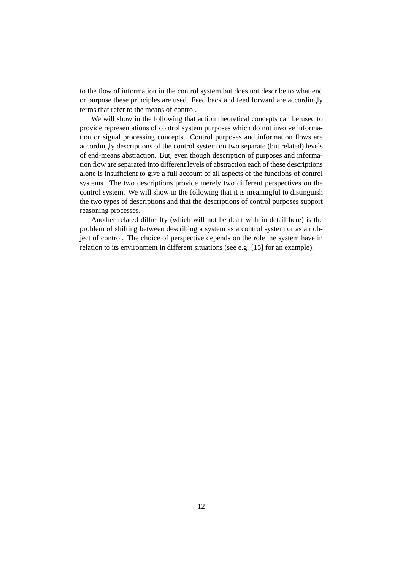to the flow of information in the control system but does not describe to what end or purpose these principles are used. Feed back and feed forward are accordingly terms that refer to the means of control.

We will show in the following that action theoretical concepts can be used to provide representations of control system purposes which do not involve information or signal processing concepts. Control purposes and information flows are accordingly descriptions of the control system on two separate (but related) levels of end-means abstraction. But, even though description of purposes and information flow are separated into different levels of abstraction each of these descriptions alone is insufficient to give a full account of all aspects of the functions of control systems. The two descriptions provide merely two different perspectives on the control system. We will show in the following that it is meaningful to distinguish the two types of descriptions and that the descriptions of control purposes support reasoning processes.

Another related difficulty (which will not be dealt with in detail here) is the problem of shifting between describing a system as a control system or as an object of control. The choice of perspective depends on the role the system have in relation to its environment in different situations (see e.g. [15] for an example).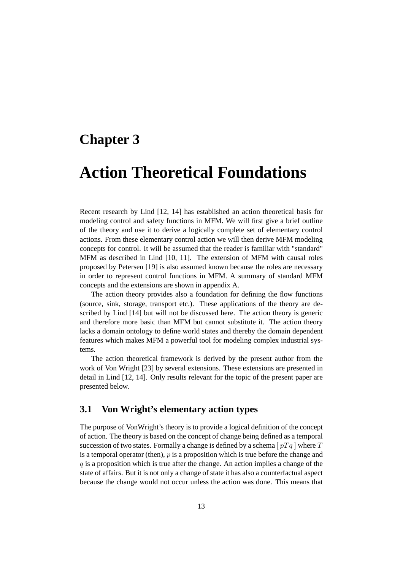### **Chapter 3**

## **Action Theoretical Foundations**

Recent research by Lind [12, 14] has established an action theoretical basis for modeling control and safety functions in MFM. We will first give a brief outline of the theory and use it to derive a logically complete set of elementary control actions. From these elementary control action we will then derive MFM modeling concepts for control. It will be assumed that the reader is familiar with "standard" MFM as described in Lind [10, 11]. The extension of MFM with causal roles proposed by Petersen [19] is also assumed known because the roles are necessary in order to represent control functions in MFM. A summary of standard MFM concepts and the extensions are shown in appendix A.

The action theory provides also a foundation for defining the flow functions (source, sink, storage, transport etc.). These applications of the theory are described by Lind [14] but will not be discussed here. The action theory is generic and therefore more basic than MFM but cannot substitute it. The action theory lacks a domain ontology to define world states and thereby the domain dependent features which makes MFM a powerful tool for modeling complex industrial systems.

The action theoretical framework is derived by the present author from the work of Von Wright [23] by several extensions. These extensions are presented in detail in Lind [12, 14]. Only results relevant for the topic of the present paper are presented below.

### **3.1 Von Wright's elementary action types**

The purpose of VonWright's theory is to provide a logical definition of the concept of action. The theory is based on the concept of change being defined as a temporal succession of two states. Formally a change is defined by a schema  $[ pTq ]$  where T is a temporal operator (then),  $p$  is a proposition which is true before the change and  $q$  is a proposition which is true after the change. An action implies a change of the state of affairs. But it is not only a change of state it has also a counterfactual aspect because the change would not occur unless the action was done. This means that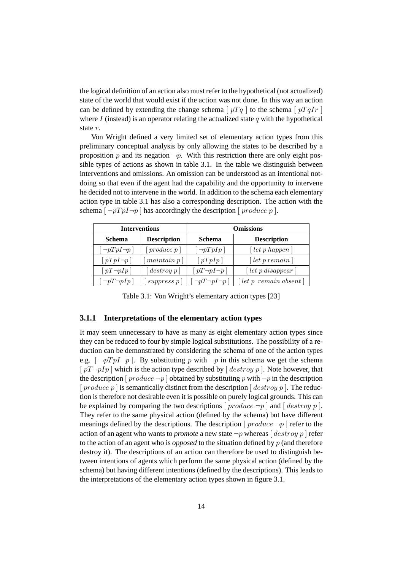the logical definition of an action also must refer to the hypothetical (not actualized) state of the world that would exist if the action was not done. In this way an action can be defined by extending the change schema [  $pTq$  ] to the schema [  $pTqIr$  ] where  $I$  (instead) is an operator relating the actualized state  $q$  with the hypothetical state r.

Von Wright defined a very limited set of elementary action types from this preliminary conceptual analysis by only allowing the states to be described by a proposition p and its negation  $\neg p$ . With this restriction there are only eight possible types of actions as shown in table 3.1. In the table we distinguish between interventions and omissions. An omission can be understood as an intentional notdoing so that even if the agent had the capability and the opportunity to intervene he decided not to intervene in the world. In addition to the schema each elementary action type in table 3.1 has also a corresponding description. The action with the schema  $\lceil \neg pTp \rceil \neg p$  has accordingly the description  $\lceil \text{produce } p \rceil$ .

|                                     | <b>Interventions</b>          | <b>Omissions</b>         |                                                      |  |
|-------------------------------------|-------------------------------|--------------------------|------------------------------------------------------|--|
| <b>Description</b><br><b>Schema</b> |                               | <b>Schema</b>            | <b>Description</b>                                   |  |
| $\lceil \neg pTpI \neg p \rceil$    | produce p                     | $\neg pTpIp$             | $\lceil \text{let } p \text{ happen} \rceil$         |  |
| $[pTpI\neg p]$                      | main <i>p</i>                 | [pTpIp]                  | $\lceil$ let p remain $\rceil$                       |  |
| $\lceil pT \neg pIp \rceil$         | $\lfloor$ destroy p $\rfloor$ | $[pT\neg pI\neg p]$      | $\lceil \text{let } p \text{ disappear} \rceil$      |  |
| $\neg pT \neg pIp$                  | suppress p                    | $\neg pT \neg pI \neg p$ | $\lceil \text{let } p \text{ remain absent } \rceil$ |  |

Table 3.1: Von Wright's elementary action types [23]

#### **3.1.1 Interpretations of the elementary action types**

It may seem unnecessary to have as many as eight elementary action types since they can be reduced to four by simple logical substitutions. The possibility of a reduction can be demonstrated by considering the schema of one of the action types e.g.  $\lceil \neg pTp \rceil \neg p$  ]. By substituting p with  $\neg p$  in this schema we get the schema  $[pT\neg pIp]$  which is the action type described by  $[destrow p]$ . Note however, that the description  $[product \neg p]$  obtained by substituting p with  $\neg p$  in the description  $[product\ p]$  is semantically distinct from the description  $[destroy\ p]$ . The reduction is therefore not desirable even it is possible on purely logical grounds. This can be explained by comparing the two descriptions  $[$  produce  $\neg p$   $]$  and  $[$  destroy p  $]$ . They refer to the same physical action (defined by the schema) but have different meanings defined by the descriptions. The description  $[product \neg p]$  refer to the action of an agent who wants to *promote* a new state  $\neg p$  whereas  $\left[$  *destroy*  $p$   $\right]$  refer to the action of an agent who is *opposed* to the situation defined by p (and therefore destroy it). The descriptions of an action can therefore be used to distinguish between intentions of agents which perform the same physical action (defined by the schema) but having different intentions (defined by the descriptions). This leads to the interpretations of the elementary action types shown in figure 3.1.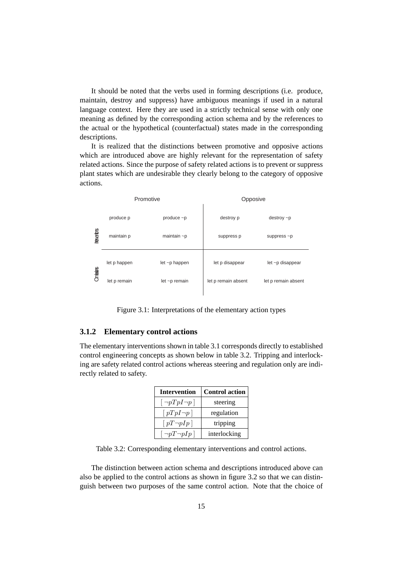It should be noted that the verbs used in forming descriptions (i.e. produce, maintain, destroy and suppress) have ambiguous meanings if used in a natural language context. Here they are used in a strictly technical sense with only one meaning as defined by the corresponding action schema and by the references to the actual or the hypothetical (counterfactual) states made in the corresponding descriptions.

It is realized that the distinctions between promotive and opposive actions which are introduced above are highly relevant for the representation of safety related actions. Since the purpose of safety related actions is to prevent or suppress plant states which are undesirable they clearly belong to the category of opposive actions.

|              |              | Promotive         | Opposive            |                     |  |
|--------------|--------------|-------------------|---------------------|---------------------|--|
| nterventions | produce p    | produce $\neg p$  | destroy p           | $destroy - p$       |  |
|              | maintain p   | maintain $\neg p$ | suppress p          | suppress $~p$       |  |
| Omissions    | let p happen | let ~p happen     | let p disappear     | let ~p disappear    |  |
|              | let p remain | let ~p remain     | let p remain absent | let p remain absent |  |
|              |              |                   |                     |                     |  |

Figure 3.1: Interpretations of the elementary action types

#### **3.1.2 Elementary control actions**

The elementary interventions shown in table 3.1 corresponds directly to established control engineering concepts as shown below in table 3.2. Tripping and interlocking are safety related control actions whereas steering and regulation only are indirectly related to safety.

| <b>Intervention</b>              | <b>Control action</b> |  |
|----------------------------------|-----------------------|--|
| $\lceil \neg pTpI \neg p \rceil$ | steering              |  |
| $\lceil pTpI \neg p \rceil$      | regulation            |  |
| $\lceil pT \neg pIp \rceil$      | tripping              |  |
| $\neg pT \neg pIp$               | interlocking          |  |

Table 3.2: Corresponding elementary interventions and control actions.

The distinction between action schema and descriptions introduced above can also be applied to the control actions as shown in figure 3.2 so that we can distinguish between two purposes of the same control action. Note that the choice of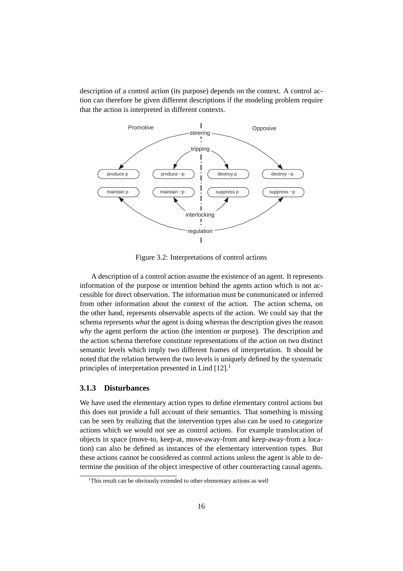description of a control action (its purpose) depends on the context. A control action can therefore be given different descriptions if the modeling problem require that the action is interpreted in different contexts.



Figure 3.2: Interpretations of control actions

A description of a control action assume the existence of an agent. It represents information of the purpose or intention behind the agents action which is not accessible for direct observation. The information must be communicated or inferred from other information about the context of the action. The action schema, on the other hand, represents observable aspects of the action. We could say that the schema represents *what* the agent is doing whereas the description gives the reason *why* the agent perform the action (the intention or purpose). The description and the action schema therefore constitute representations of the action on two distinct semantic levels which imply two different frames of interpretation. It should be noted that the relation between the two levels is uniquely defined by the systematic principles of interpretation presented in Lind  $[12]$ <sup>1</sup>

#### **3.1.3 Disturbances**

We have used the elementary action types to define elementary control actions but this does not provide a full account of their semantics. That something is missing can be seen by realizing that the intervention types also can be used to categorize actions which we would not see as control actions. For example translocation of objects in space (move-to, keep-at, move-away-from and keep-away-from a location) can also be defined as instances of the elementary intervention types. But these actions cannot be considered as control actions unless the agent is able to determine the position of the object irrespective of other counteracting causal agents.

<sup>&</sup>lt;sup>1</sup>This result can be obviously extended to other elementary actions as well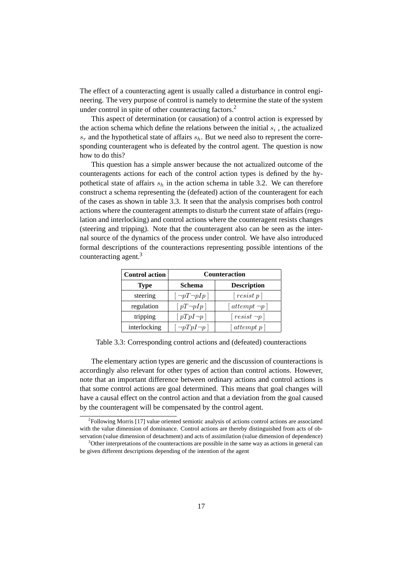The effect of a counteracting agent is usually called a disturbance in control engineering. The very purpose of control is namely to determine the state of the system under control in spite of other counteracting factors.<sup>2</sup>

This aspect of determination (or causation) of a control action is expressed by the action schema which define the relations between the initial  $s_i$ , the actualized  $s_r$  and the hypothetical state of affairs  $s_h$ . But we need also to represent the corresponding counteragent who is defeated by the control agent. The question is now how to do this?

This question has a simple answer because the not actualized outcome of the counteragents actions for each of the control action types is defined by the hypothetical state of affairs  $s_h$  in the action schema in table 3.2. We can therefore construct a schema representing the (defeated) action of the counteragent for each of the cases as shown in table 3.3. It seen that the analysis comprises both control actions where the counteragent attempts to disturb the current state of affairs (regulation and interlocking) and control actions where the counteragent resists changes (steering and tripping). Note that the counteragent also can be seen as the internal source of the dynamics of the process under control. We have also introduced formal descriptions of the counteractions representing possible intentions of the counteracting agent.<sup>3</sup>

| <b>Control action</b> | <b>Counteraction</b> |                                  |  |  |
|-----------------------|----------------------|----------------------------------|--|--|
| Type                  | Schema               | <b>Description</b>               |  |  |
| steering              | $\neg pT\neg pIp$    | $\lceil \text{resist } p \rceil$ |  |  |
| regulation            | $[pT\neg pIp]$       | $ $ attempt $\neg p$             |  |  |
| tripping              | $[pTpI\neg p]$       | $\lceil resist \neg p \rceil$    |  |  |
| interlocking          | $\neg pTpI\neg p$    | $[$ attempt p $]$                |  |  |

Table 3.3: Corresponding control actions and (defeated) counteractions

The elementary action types are generic and the discussion of counteractions is accordingly also relevant for other types of action than control actions. However, note that an important difference between ordinary actions and control actions is that some control actions are goal determined. This means that goal changes will have a causal effect on the control action and that a deviation from the goal caused by the counteragent will be compensated by the control agent.

<sup>&</sup>lt;sup>2</sup>Following Morris [17] value oriented semiotic analysis of actions control actions are associated with the value dimension of dominance. Control actions are thereby distinguished from acts of observation (value dimension of detachment) and acts of assimilation (value dimension of dependence)

<sup>&</sup>lt;sup>3</sup>Other interpretations of the counteractions are possible in the same way as actions in general can be given different descriptions depending of the intention of the agent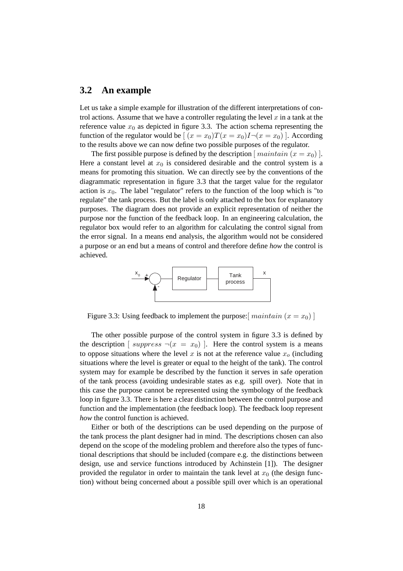#### **3.2 An example**

Let us take a simple example for illustration of the different interpretations of control actions. Assume that we have a controller regulating the level  $x$  in a tank at the reference value  $x_0$  as depicted in figure 3.3. The action schema representing the function of the regulator would be  $[(x = x_0)T(x = x_0)I-(x = x_0)]$ . According to the results above we can now define two possible purposes of the regulator.

The first possible purpose is defined by the description  $[main (x = x_0)]$ . Here a constant level at  $x_0$  is considered desirable and the control system is a means for promoting this situation. We can directly see by the conventions of the diagrammatic representation in figure 3.3 that the target value for the regulator action is  $x_0$ . The label "regulator" refers to the function of the loop which is "to regulate" the tank process. But the label is only attached to the box for explanatory purposes. The diagram does not provide an explicit representation of neither the purpose nor the function of the feedback loop. In an engineering calculation, the regulator box would refer to an algorithm for calculating the control signal from the error signal. In a means end analysis, the algorithm would not be considered a purpose or an end but a means of control and therefore define *how* the control is achieved.



Figure 3.3: Using feedback to implement the purpose:  $[maintain (x = x<sub>0</sub>)]$ 

The other possible purpose of the control system in figure 3.3 is defined by the description [ suppress  $\neg(x = x_0)$  ]. Here the control system is a means to oppose situations where the level x is not at the reference value  $x<sub>o</sub>$  (including situations where the level is greater or equal to the height of the tank). The control system may for example be described by the function it serves in safe operation of the tank process (avoiding undesirable states as e.g. spill over). Note that in this case the purpose cannot be represented using the symbology of the feedback loop in figure 3.3. There is here a clear distinction between the control purpose and function and the implementation (the feedback loop). The feedback loop represent *how* the control function is achieved.

Either or both of the descriptions can be used depending on the purpose of the tank process the plant designer had in mind. The descriptions chosen can also depend on the scope of the modeling problem and therefore also the types of functional descriptions that should be included (compare e.g. the distinctions between design, use and service functions introduced by Achinstein [1]). The designer provided the regulator in order to maintain the tank level at  $x_0$  (the design function) without being concerned about a possible spill over which is an operational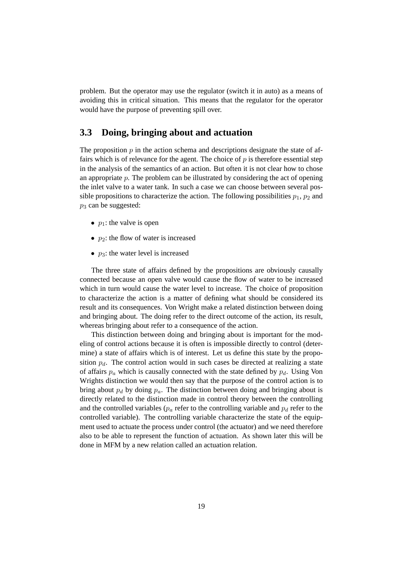problem. But the operator may use the regulator (switch it in auto) as a means of avoiding this in critical situation. This means that the regulator for the operator would have the purpose of preventing spill over.

### **3.3 Doing, bringing about and actuation**

The proposition  $p$  in the action schema and descriptions designate the state of affairs which is of relevance for the agent. The choice of  $p$  is therefore essential step in the analysis of the semantics of an action. But often it is not clear how to chose an appropriate  $p$ . The problem can be illustrated by considering the act of opening the inlet valve to a water tank. In such a case we can choose between several possible propositions to characterize the action. The following possibilities  $p_1$ ,  $p_2$  and  $p_3$  can be suggested:

- $p_1$ : the valve is open
- $p_2$ : the flow of water is increased
- $p_3$ : the water level is increased

The three state of affairs defined by the propositions are obviously causally connected because an open valve would cause the flow of water to be increased which in turn would cause the water level to increase. The choice of proposition to characterize the action is a matter of defining what should be considered its result and its consequences. Von Wright make a related distinction between doing and bringing about. The doing refer to the direct outcome of the action, its result, whereas bringing about refer to a consequence of the action.

This distinction between doing and bringing about is important for the modeling of control actions because it is often is impossible directly to control (determine) a state of affairs which is of interest. Let us define this state by the proposition  $p_d$ . The control action would in such cases be directed at realizing a state of affairs  $p_a$  which is causally connected with the state defined by  $p_d$ . Using Von Wrights distinction we would then say that the purpose of the control action is to bring about  $p_d$  by doing  $p_a$ . The distinction between doing and bringing about is directly related to the distinction made in control theory between the controlling and the controlled variables ( $p_a$  refer to the controlling variable and  $p_d$  refer to the controlled variable). The controlling variable characterize the state of the equipment used to actuate the process under control (the actuator) and we need therefore also to be able to represent the function of actuation. As shown later this will be done in MFM by a new relation called an actuation relation.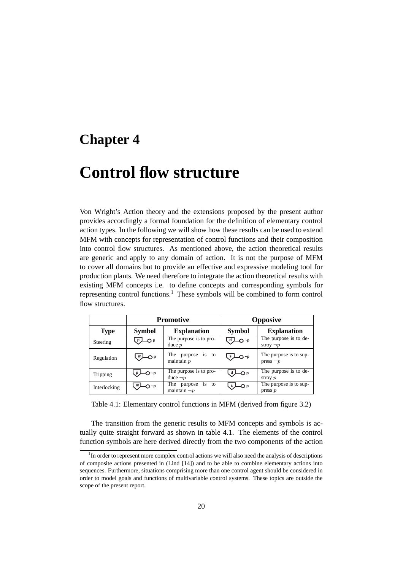### **Chapter 4**

## **Control flow structure**

Von Wright's Action theory and the extensions proposed by the present author provides accordingly a formal foundation for the definition of elementary control action types. In the following we will show how these results can be used to extend MFM with concepts for representation of control functions and their composition into control flow structures. As mentioned above, the action theoretical results are generic and apply to any domain of action. It is not the purpose of MFM to cover all domains but to provide an effective and expressive modeling tool for production plants. We need therefore to integrate the action theoretical results with existing MFM concepts i.e. to define concepts and corresponding symbols for representing control functions.<sup>1</sup> These symbols will be combined to form control flow structures.

|              |                          | Promotive                                        |               | <b>Opposive</b>                          |
|--------------|--------------------------|--------------------------------------------------|---------------|------------------------------------------|
| <b>Type</b>  | <b>Symbol</b>            | <b>Explanation</b>                               | <b>Symbol</b> | <b>Explanation</b>                       |
| Steering     | —O p                     | The purpose is to pro-<br>$duce$ $p$             | —O ~p         | The purpose is to de-<br>stroy $\neg p$  |
| Regulation   | . <sup>m</sup> ⊥—O p     | The purpose is to<br>maintain p                  | —O ~p         | The purpose is to sup-<br>press $\neg p$ |
| Tripping     | $\overline{\bigcirc}$ -p | The purpose is to pro-<br>duce $\neg p$          | -O P          | The purpose is to $de-$<br>stroy $p$     |
| Interlocking | m.<br>O ~p               | The<br>to<br>is.<br>purpose<br>maintain $\neg p$ | s             | The purpose is to sup-<br>press p        |

Table 4.1: Elementary control functions in MFM (derived from figure 3.2)

The transition from the generic results to MFM concepts and symbols is actually quite straight forward as shown in table 4.1. The elements of the control function symbols are here derived directly from the two components of the action

 $1$ In order to represent more complex control actions we will also need the analysis of descriptions of composite actions presented in (Lind [14]) and to be able to combine elementary actions into sequences. Furthermore, situations comprising more than one control agent should be considered in order to model goals and functions of multivariable control systems. These topics are outside the scope of the present report.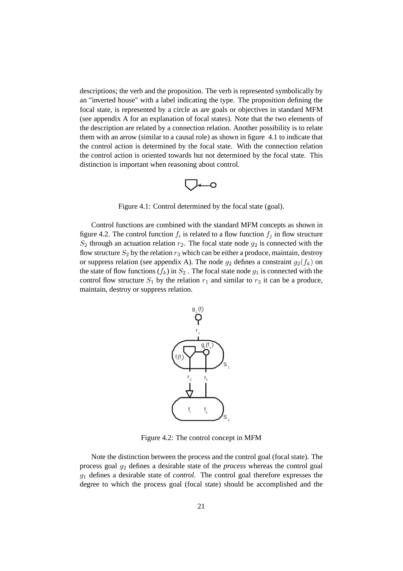descriptions; the verb and the proposition. The verb is represented symbolically by an "inverted house" with a label indicating the type. The proposition defining the focal state, is represented by a circle as are goals or objectives in standard MFM (see appendix A for an explanation of focal states). Note that the two elements of the description are related by a connection relation. Another possibility is to relate them with an arrow (similar to a causal role) as shown in figure 4.1 to indicate that the control action is determined by the focal state. With the connection relation the control action is oriented towards but not determined by the focal state. This distinction is important when reasoning about control.

$$
\bigcirc\hspace{-0.7mm}-\hspace{-0.7mm}\circ
$$

Figure 4.1: Control determined by the focal state (goal).

Control functions are combined with the standard MFM concepts as shown in figure 4.2. The control function  $f_i$  is related to a flow function  $f_j$  in flow structure  $S_2$  through an actuation relation  $r_2$ . The focal state node  $g_2$  is connected with the flow structure  $S_2$  by the relation  $r_3$  which can be either a produce, maintain, destroy or suppress relation (see appendix A). The node  $g_2$  defines a constraint  $g_2(f_k)$  on the state of flow functions  $(f_k)$  in  $S_2$ . The focal state node  $g_1$  is connected with the control flow structure  $S_1$  by the relation  $r_1$  and similar to  $r_3$  it can be a produce, maintain, destroy or suppress relation.



Figure 4.2: The control concept in MFM

Note the distinction between the process and the control goal (focal state). The process goal g<sup>2</sup> defines a desirable state of the *process* whereas the control goal g<sup>1</sup> defines a desirable state of *control*. The control goal therefore expresses the degree to which the process goal (focal state) should be accomplished and the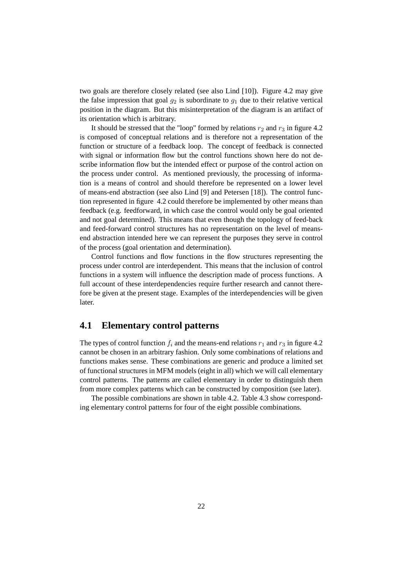two goals are therefore closely related (see also Lind [10]). Figure 4.2 may give the false impression that goal  $q_2$  is subordinate to  $q_1$  due to their relative vertical position in the diagram. But this misinterpretation of the diagram is an artifact of its orientation which is arbitrary.

It should be stressed that the "loop" formed by relations  $r_2$  and  $r_3$  in figure 4.2 is composed of conceptual relations and is therefore not a representation of the function or structure of a feedback loop. The concept of feedback is connected with signal or information flow but the control functions shown here do not describe information flow but the intended effect or purpose of the control action on the process under control. As mentioned previously, the processing of information is a means of control and should therefore be represented on a lower level of means-end abstraction (see also Lind [9] and Petersen [18]). The control function represented in figure 4.2 could therefore be implemented by other means than feedback (e.g. feedforward, in which case the control would only be goal oriented and not goal determined). This means that even though the topology of feed-back and feed-forward control structures has no representation on the level of meansend abstraction intended here we can represent the purposes they serve in control of the process (goal orientation and determination).

Control functions and flow functions in the flow structures representing the process under control are interdependent. This means that the inclusion of control functions in a system will influence the description made of process functions. A full account of these interdependencies require further research and cannot therefore be given at the present stage. Examples of the interdependencies will be given later.

### **4.1 Elementary control patterns**

The types of control function  $f_i$  and the means-end relations  $r_1$  and  $r_3$  in figure 4.2 cannot be chosen in an arbitrary fashion. Only some combinations of relations and functions makes sense. These combinations are generic and produce a limited set of functional structures in MFM models (eight in all) which we will call elementary control patterns. The patterns are called elementary in order to distinguish them from more complex patterns which can be constructed by composition (see later).

The possible combinations are shown in table 4.2. Table 4.3 show corresponding elementary control patterns for four of the eight possible combinations.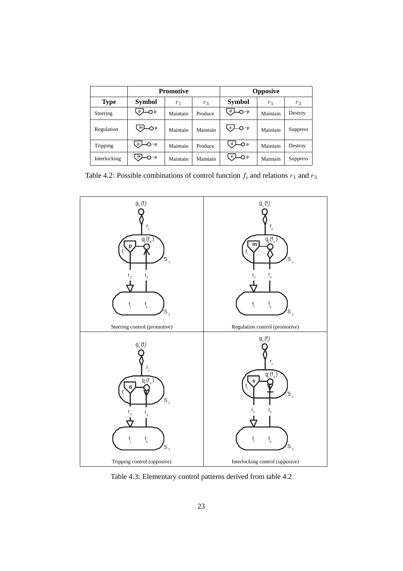|              | <b>Promotive</b> |          |          |                            | <b>Opposive</b> |                 |
|--------------|------------------|----------|----------|----------------------------|-----------------|-----------------|
| <b>Type</b>  | <b>Symbol</b>    | $r_1$    | $r_3$    | <b>Symbol</b>              | $r_1$           | $r_3$           |
| Steering     | —O P<br>p        | Maintain | Produce  | $Q - p$<br>d J             | Maintain        | Destroy         |
| Regulation   | ™—O P            | Maintain | Maintain | $\bigcup$ s $\bigcup$ O ~p | Maintain        | <b>Suppress</b> |
| Tripping     | -O ~p            | Maintain | Produce  | ر d<br>—O p                | Maintain        | Destroy         |
| Interlocking | m<br>O~p         | Maintain | Maintain | —O p<br>ر s                | Maintain        | <b>Suppress</b> |

Table 4.2: Possible combinations of control function  $f_i$  and relations  $r_1$  and  $r_3$ 



Table 4.3: Elementary control patterns derived from table 4.2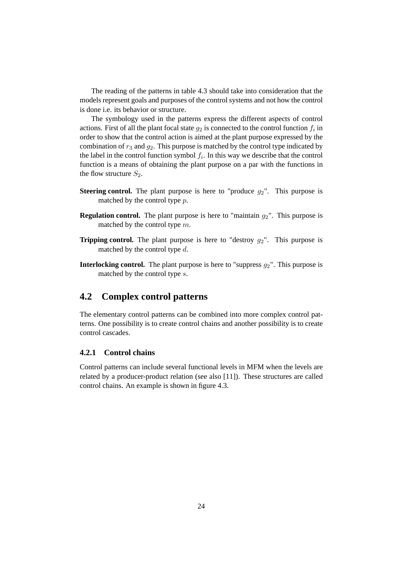The reading of the patterns in table 4.3 should take into consideration that the models represent goals and purposes of the control systems and not how the control is done i.e. its behavior or structure.

The symbology used in the patterns express the different aspects of control actions. First of all the plant focal state  $g_2$  is connected to the control function  $f_i$  in order to show that the control action is aimed at the plant purpose expressed by the combination of  $r_3$  and  $q_2$ . This purpose is matched by the control type indicated by the label in the control function symbol  $f_i$ . In this way we describe that the control function is a means of obtaining the plant purpose on a par with the functions in the flow structure  $S_2$ .

- **Steering control.** The plant purpose is here to "produce  $g_2$ ". This purpose is matched by the control type p.
- **Regulation control.** The plant purpose is here to "maintain  $g_2$ ". This purpose is matched by the control type m.
- **Tripping control.** The plant purpose is here to "destroy  $g_2$ ". This purpose is matched by the control type d.
- **Interlocking control.** The plant purpose is here to "suppress  $q_2$ ". This purpose is matched by the control type s.

### **4.2 Complex control patterns**

The elementary control patterns can be combined into more complex control patterns. One possibility is to create control chains and another possibility is to create control cascades.

#### **4.2.1 Control chains**

Control patterns can include several functional levels in MFM when the levels are related by a producer-product relation (see also [11]). These structures are called control chains. An example is shown in figure 4.3.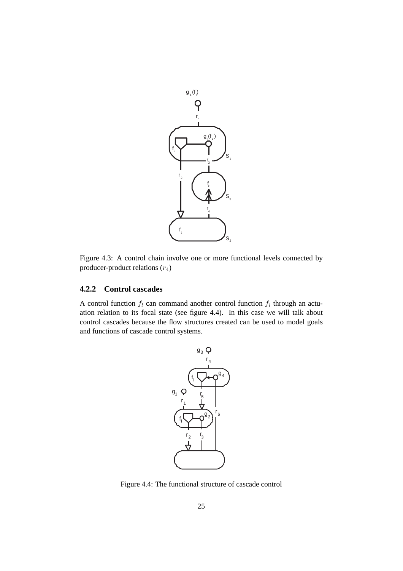

Figure 4.3: A control chain involve one or more functional levels connected by producer-product relations  $(r_4)$ 

#### **4.2.2 Control cascades**

A control function  $f_l$  can command another control function  $f_i$  through an actuation relation to its focal state (see figure 4.4). In this case we will talk about control cascades because the flow structures created can be used to model goals and functions of cascade control systems.



Figure 4.4: The functional structure of cascade control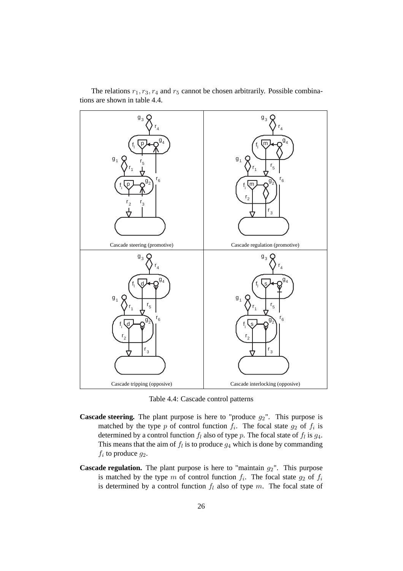

The relations  $r_1$ ,  $r_3$ ,  $r_4$  and  $r_5$  cannot be chosen arbitrarily. Possible combinations are shown in table 4.4.

Table 4.4: Cascade control patterns

- **Cascade steering.** The plant purpose is here to "produce  $g_2$ ". This purpose is matched by the type p of control function  $f_i$ . The focal state  $g_2$  of  $f_i$  is determined by a control function  $f_l$  also of type p. The focal state of  $f_l$  is  $g_4$ . This means that the aim of  $f_l$  is to produce  $g_4$  which is done by commanding  $f_i$  to produce  $g_2$ .
- **Cascade regulation.** The plant purpose is here to "maintain  $g_2$ ". This purpose is matched by the type m of control function  $f_i$ . The focal state  $g_2$  of  $f_i$ is determined by a control function  $f_l$  also of type m. The focal state of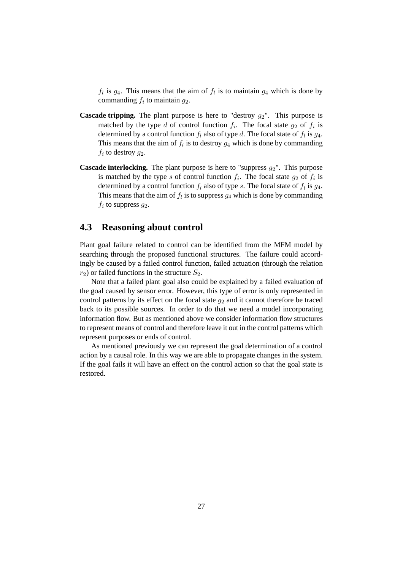$f_l$  is  $g_4$ . This means that the aim of  $f_l$  is to maintain  $g_4$  which is done by commanding  $f_i$  to maintain  $g_2$ .

- **Cascade tripping.** The plant purpose is here to "destroy  $g_2$ ". This purpose is matched by the type d of control function  $f_i$ . The focal state  $g_2$  of  $f_i$  is determined by a control function  $f_l$  also of type d. The focal state of  $f_l$  is  $g_4$ . This means that the aim of  $f_l$  is to destroy  $g_4$  which is done by commanding  $f_i$  to destroy  $g_2$ .
- **Cascade interlocking.** The plant purpose is here to "suppress  $g_2$ ". This purpose is matched by the type s of control function  $f_i$ . The focal state  $g_2$  of  $f_i$  is determined by a control function  $f_l$  also of type s. The focal state of  $f_l$  is  $g_4$ . This means that the aim of  $f_l$  is to suppress  $g_4$  which is done by commanding  $f_i$  to suppress  $g_2$ .

### **4.3 Reasoning about control**

Plant goal failure related to control can be identified from the MFM model by searching through the proposed functional structures. The failure could accordingly be caused by a failed control function, failed actuation (through the relation  $r_2$ ) or failed functions in the structure  $S_2$ .

Note that a failed plant goal also could be explained by a failed evaluation of the goal caused by sensor error. However, this type of error is only represented in control patterns by its effect on the focal state  $g_2$  and it cannot therefore be traced back to its possible sources. In order to do that we need a model incorporating information flow. But as mentioned above we consider information flow structures to represent means of control and therefore leave it out in the control patterns which represent purposes or ends of control.

As mentioned previously we can represent the goal determination of a control action by a causal role. In this way we are able to propagate changes in the system. If the goal fails it will have an effect on the control action so that the goal state is restored.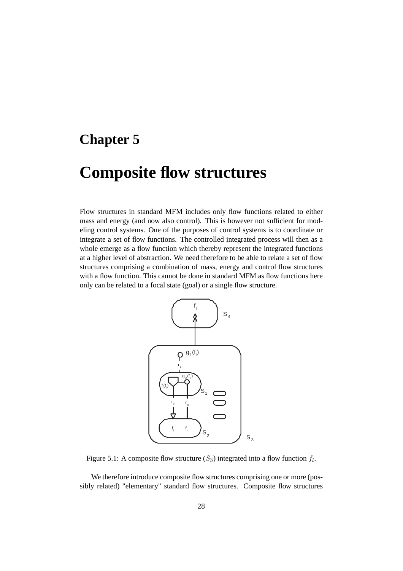### **Chapter 5**

## **Composite flow structures**

Flow structures in standard MFM includes only flow functions related to either mass and energy (and now also control). This is however not sufficient for modeling control systems. One of the purposes of control systems is to coordinate or integrate a set of flow functions. The controlled integrated process will then as a whole emerge as a flow function which thereby represent the integrated functions at a higher level of abstraction. We need therefore to be able to relate a set of flow structures comprising a combination of mass, energy and control flow structures with a flow function. This cannot be done in standard MFM as flow functions here only can be related to a focal state (goal) or a single flow structure.



Figure 5.1: A composite flow structure  $(S_3)$  integrated into a flow function  $f_l$ .

We therefore introduce composite flow structures comprising one or more (possibly related) "elementary" standard flow structures. Composite flow structures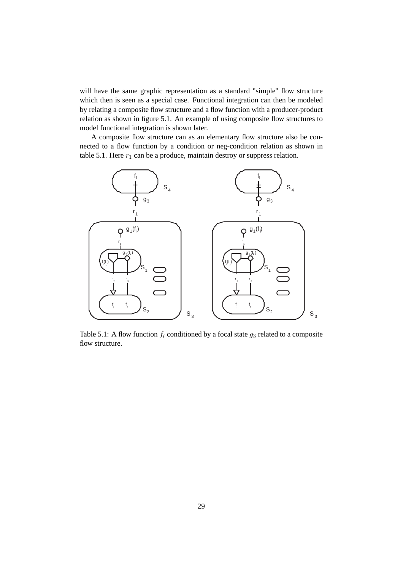will have the same graphic representation as a standard "simple" flow structure which then is seen as a special case. Functional integration can then be modeled by relating a composite flow structure and a flow function with a producer-product relation as shown in figure 5.1. An example of using composite flow structures to model functional integration is shown later.

A composite flow structure can as an elementary flow structure also be connected to a flow function by a condition or neg-condition relation as shown in table 5.1. Here  $r_1$  can be a produce, maintain destroy or suppress relation.



Table 5.1: A flow function  $f_l$  conditioned by a focal state  $g_3$  related to a composite flow structure.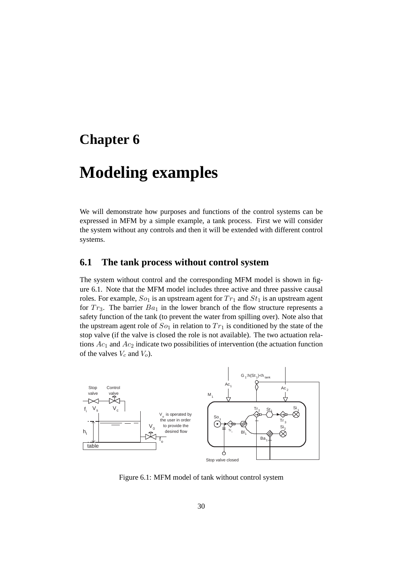### **Chapter 6**

## **Modeling examples**

We will demonstrate how purposes and functions of the control systems can be expressed in MFM by a simple example, a tank process. First we will consider the system without any controls and then it will be extended with different control systems.

#### **6.1 The tank process without control system**

The system without control and the corresponding MFM model is shown in figure 6.1. Note that the MFM model includes three active and three passive causal roles. For example,  $So<sub>1</sub>$  is an upstream agent for  $Tr<sub>1</sub>$  and  $St<sub>1</sub>$  is an upstream agent for  $Tr_3$ . The barrier  $Ba_1$  in the lower branch of the flow structure represents a safety function of the tank (to prevent the water from spilling over). Note also that the upstream agent role of  $So<sub>1</sub>$  in relation to  $Tr<sub>1</sub>$  is conditioned by the state of the stop valve (if the valve is closed the role is not available). The two actuation relations  $Ac_1$  and  $Ac_2$  indicate two possibilities of intervention (the actuation function of the valves  $V_c$  and  $V_o$ ).



Figure 6.1: MFM model of tank without control system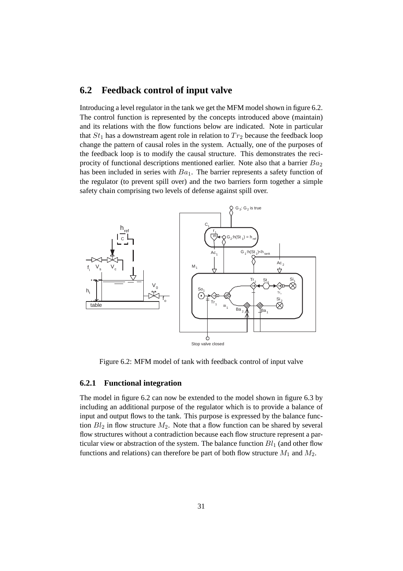### **6.2 Feedback control of input valve**

Introducing a level regulator in the tank we get the MFM model shown in figure 6.2. The control function is represented by the concepts introduced above (maintain) and its relations with the flow functions below are indicated. Note in particular that  $St_1$  has a downstream agent role in relation to  $Tr_2$  because the feedback loop change the pattern of causal roles in the system. Actually, one of the purposes of the feedback loop is to modify the causal structure. This demonstrates the reciprocity of functional descriptions mentioned earlier. Note also that a barrier  $Ba<sub>2</sub>$ has been included in series with  $Ba<sub>1</sub>$ . The barrier represents a safety function of the regulator (to prevent spill over) and the two barriers form together a simple safety chain comprising two levels of defense against spill over.



Figure 6.2: MFM model of tank with feedback control of input valve

#### **6.2.1 Functional integration**

The model in figure 6.2 can now be extended to the model shown in figure 6.3 by including an additional purpose of the regulator which is to provide a balance of input and output flows to the tank. This purpose is expressed by the balance function  $Bl_2$  in flow structure  $M_2$ . Note that a flow function can be shared by several flow structures without a contradiction because each flow structure represent a particular view or abstraction of the system. The balance function  $Bl_1$  (and other flow functions and relations) can therefore be part of both flow structure  $M_1$  and  $M_2$ .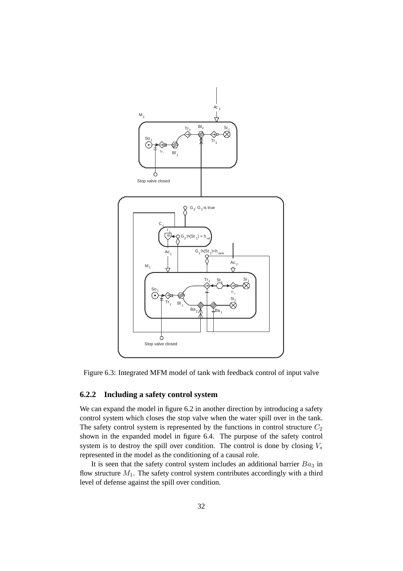

Figure 6.3: Integrated MFM model of tank with feedback control of input valve

#### **6.2.2 Including a safety control system**

We can expand the model in figure 6.2 in another direction by introducing a safety control system which closes the stop valve when the water spill over in the tank. The safety control system is represented by the functions in control structure  $C_2$ shown in the expanded model in figure 6.4. The purpose of the safety control system is to destroy the spill over condition. The control is done by closing  $V_s$ represented in the model as the conditioning of a causal role.

It is seen that the safety control system includes an additional barrier  $Ba<sub>3</sub>$  in flow structure  $M_1$ . The safety control system contributes accordingly with a third level of defense against the spill over condition.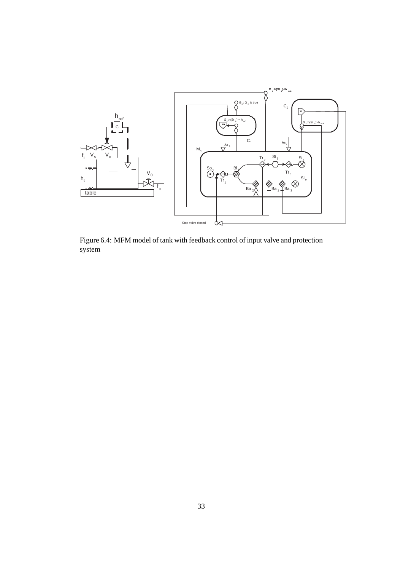

Figure 6.4: MFM model of tank with feedback control of input valve and protection system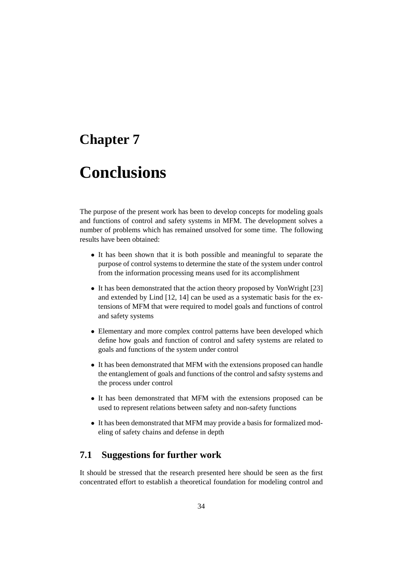### **Chapter 7**

## **Conclusions**

The purpose of the present work has been to develop concepts for modeling goals and functions of control and safety systems in MFM. The development solves a number of problems which has remained unsolved for some time. The following results have been obtained:

- It has been shown that it is both possible and meaningful to separate the purpose of control systems to determine the state of the system under control from the information processing means used for its accomplishment
- It has been demonstrated that the action theory proposed by VonWright [23] and extended by Lind [12, 14] can be used as a systematic basis for the extensions of MFM that were required to model goals and functions of control and safety systems
- Elementary and more complex control patterns have been developed which define how goals and function of control and safety systems are related to goals and functions of the system under control
- It has been demonstrated that MFM with the extensions proposed can handle the entanglement of goals and functions of the control and safsty systems and the process under control
- It has been demonstrated that MFM with the extensions proposed can be used to represent relations between safety and non-safety functions
- It has been demonstrated that MFM may provide a basis for formalized modeling of safety chains and defense in depth

### **7.1 Suggestions for further work**

It should be stressed that the research presented here should be seen as the first concentrated effort to establish a theoretical foundation for modeling control and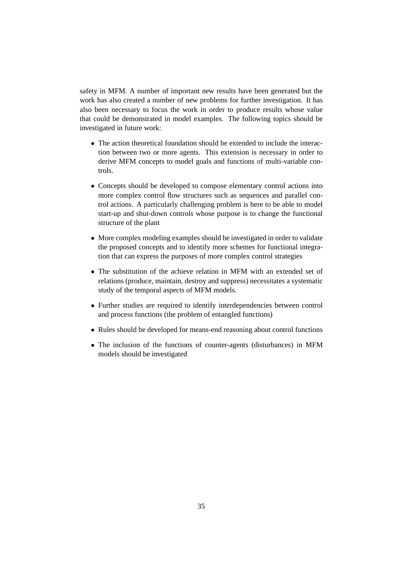safety in MFM. A number of important new results have been generated but the work has also created a number of new problems for further investigation. It has also been necessary to focus the work in order to produce results whose value that could be demonstrated in model examples. The following topics should be investigated in future work:

- The action theoretical foundation should be extended to include the interaction between two or more agents. This extension is necessary in order to derive MFM concepts to model goals and functions of multi-variable controls.
- Concepts should be developed to compose elementary control actions into more complex control flow structures such as sequences and parallel control actions. A particularly challenging problem is here to be able to model start-up and shut-down controls whose purpose is to change the functional structure of the plant
- More complex modeling examples should be investigated in order to validate the proposed concepts and to identify more schemes for functional integration that can express the purposes of more complex control strategies
- The substitution of the achieve relation in MFM with an extended set of relations (produce, maintain, destroy and suppress) necessitates a systematic study of the temporal aspects of MFM models.
- Further studies are required to identify interdependencies between control and process functions (the problem of entangled functions)
- Rules should be developed for means-end reasoning about control functions
- The inclusion of the functions of counter-agents (disturbances) in MFM models should be investigated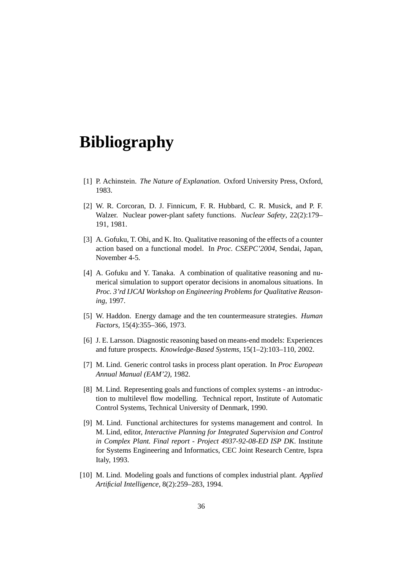## **Bibliography**

- [1] P. Achinstein. *The Nature of Explanation*. Oxford University Press, Oxford, 1983.
- [2] W. R. Corcoran, D. J. Finnicum, F. R. Hubbard, C. R. Musick, and P. F. Walzer. Nuclear power-plant safety functions. *Nuclear Safety*, 22(2):179– 191, 1981.
- [3] A. Gofuku, T. Ohi, and K. Ito. Qualitative reasoning of the effects of a counter action based on a functional model. In *Proc. CSEPC'2004*, Sendai, Japan, November 4-5.
- [4] A. Gofuku and Y. Tanaka. A combination of qualitative reasoning and numerical simulation to support operator decisions in anomalous situations. In *Proc. 3'rd IJCAI Workshop on Engineering Problems for Qualitative Reasoning*, 1997.
- [5] W. Haddon. Energy damage and the ten countermeasure strategies. *Human Factors*, 15(4):355–366, 1973.
- [6] J. E. Larsson. Diagnostic reasoning based on means-end models: Experiences and future prospects. *Knowledge-Based Systems*, 15(1–2):103–110, 2002.
- [7] M. Lind. Generic control tasks in process plant operation. In *Proc European Annual Manual (EAM'2)*, 1982.
- [8] M. Lind. Representing goals and functions of complex systems an introduction to multilevel flow modelling. Technical report, Institute of Automatic Control Systems, Technical University of Denmark, 1990.
- [9] M. Lind. Functional architectures for systems management and control. In M. Lind, editor, *Interactive Planning for Integrated Supervision and Control in Complex Plant. Final report - Project 4937-92-08-ED ISP DK*. Institute for Systems Engineering and Informatics, CEC Joint Research Centre, Ispra Italy, 1993.
- [10] M. Lind. Modeling goals and functions of complex industrial plant. *Applied Artificial Intelligence*, 8(2):259–283, 1994.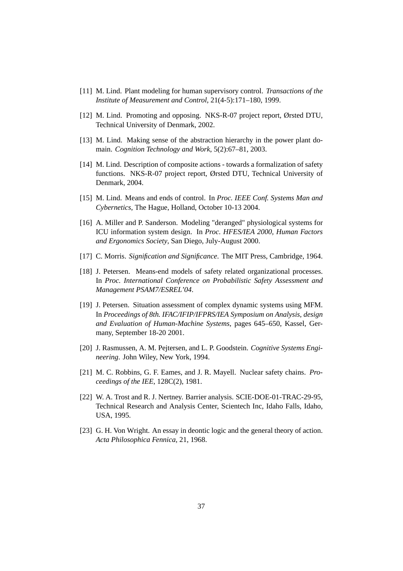- [11] M. Lind. Plant modeling for human supervisory control. *Transactions of the Institute of Measurement and Control*, 21(4-5):171–180, 1999.
- [12] M. Lind. Promoting and opposing. NKS-R-07 project report, Ørsted DTU, Technical University of Denmark, 2002.
- [13] M. Lind. Making sense of the abstraction hierarchy in the power plant domain. *Cognition Technology and Work*, 5(2):67–81, 2003.
- [14] M. Lind. Description of composite actions towards a formalization of safety functions. NKS-R-07 project report, Ørsted DTU, Technical University of Denmark, 2004.
- [15] M. Lind. Means and ends of control. In *Proc. IEEE Conf. Systems Man and Cybernetics*, The Hague, Holland, October 10-13 2004.
- [16] A. Miller and P. Sanderson. Modeling "deranged" physiological systems for ICU information system design. In *Proc. HFES/IEA 2000, Human Factors and Ergonomics Society*, San Diego, July-August 2000.
- [17] C. Morris. *Signification and Significance*. The MIT Press, Cambridge, 1964.
- [18] J. Petersen. Means-end models of safety related organizational processes. In *Proc. International Conference on Probabilistic Safety Assessment and Management PSAM7/ESREL'04*.
- [19] J. Petersen. Situation assessment of complex dynamic systems using MFM. In *Proceedings of 8th. IFAC/IFIP/IFPRS/IEA Symposium on Analysis, design and Evaluation of Human-Machine Systems*, pages 645–650, Kassel, Germany, September 18-20 2001.
- [20] J. Rasmussen, A. M. Pejtersen, and L. P. Goodstein. *Cognitive Systems Engineering*. John Wiley, New York, 1994.
- [21] M. C. Robbins, G. F. Eames, and J. R. Mayell. Nuclear safety chains. *Proceedings of the IEE*, 128C(2), 1981.
- [22] W. A. Trost and R. J. Nertney. Barrier analysis. SCIE-DOE-01-TRAC-29-95, Technical Research and Analysis Center, Scientech Inc, Idaho Falls, Idaho, USA, 1995.
- [23] G. H. Von Wright. An essay in deontic logic and the general theory of action. *Acta Philosophica Fennica*, 21, 1968.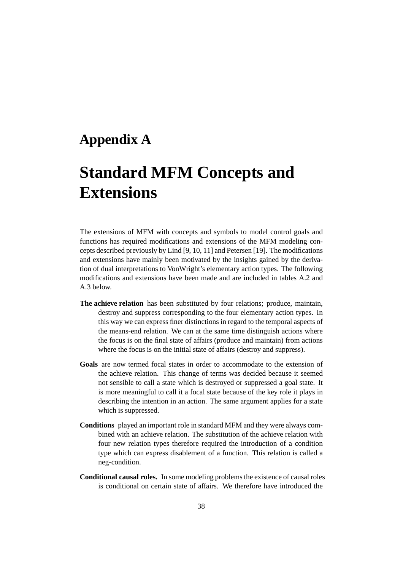### **Appendix A**

# **Standard MFM Concepts and Extensions**

The extensions of MFM with concepts and symbols to model control goals and functions has required modifications and extensions of the MFM modeling concepts described previously by Lind [9, 10, 11] and Petersen [19]. The modifications and extensions have mainly been motivated by the insights gained by the derivation of dual interpretations to VonWright's elementary action types. The following modifications and extensions have been made and are included in tables A.2 and A.3 below.

- **The achieve relation** has been substituted by four relations; produce, maintain, destroy and suppress corresponding to the four elementary action types. In this way we can express finer distinctions in regard to the temporal aspects of the means-end relation. We can at the same time distinguish actions where the focus is on the final state of affairs (produce and maintain) from actions where the focus is on the initial state of affairs (destroy and suppress).
- **Goals** are now termed focal states in order to accommodate to the extension of the achieve relation. This change of terms was decided because it seemed not sensible to call a state which is destroyed or suppressed a goal state. It is more meaningful to call it a focal state because of the key role it plays in describing the intention in an action. The same argument applies for a state which is suppressed.
- **Conditions** played an important role in standard MFM and they were always combined with an achieve relation. The substitution of the achieve relation with four new relation types therefore required the introduction of a condition type which can express disablement of a function. This relation is called a neg-condition.
- **Conditional causal roles.** In some modeling problems the existence of causal roles is conditional on certain state of affairs. We therefore have introduced the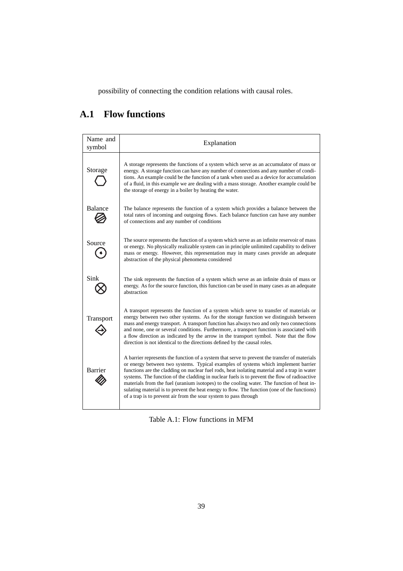possibility of connecting the condition relations with causal roles.

### **A.1 Flow functions**

| Name and<br>symbol | Explanation                                                                                                                                                                                                                                                                                                                                                                                                                                                                                                                                                                                                                                          |  |  |  |
|--------------------|------------------------------------------------------------------------------------------------------------------------------------------------------------------------------------------------------------------------------------------------------------------------------------------------------------------------------------------------------------------------------------------------------------------------------------------------------------------------------------------------------------------------------------------------------------------------------------------------------------------------------------------------------|--|--|--|
| Storage            | A storage represents the functions of a system which serve as an accumulator of mass or<br>energy. A storage function can have any number of connections and any number of condi-<br>tions. An example could be the function of a tank when used as a device for accumulation<br>of a fluid, in this example we are dealing with a mass storage. Another example could be<br>the storage of energy in a boiler by heating the water.                                                                                                                                                                                                                 |  |  |  |
| <b>Balance</b>     | The balance represents the function of a system which provides a balance between the<br>total rates of incoming and outgoing flows. Each balance function can have any number<br>of connections and any number of conditions                                                                                                                                                                                                                                                                                                                                                                                                                         |  |  |  |
| Source             | The source represents the function of a system which serve as an infinite reservoir of mass<br>or energy. No physically realizable system can in principle unlimited capability to deliver<br>mass or energy. However, this representation may in many cases provide an adequate<br>abstraction of the physical phenomena considered                                                                                                                                                                                                                                                                                                                 |  |  |  |
| Sink               | The sink represents the function of a system which serve as an infinite drain of mass or<br>energy. As for the source function, this function can be used in many cases as an adequate<br>abstraction                                                                                                                                                                                                                                                                                                                                                                                                                                                |  |  |  |
| Transport          | A transport represents the function of a system which serve to transfer of materials or<br>energy between two other systems. As for the storage function we distinguish between<br>mass and energy transport. A transport function has always two and only two connections<br>and none, one or several conditions. Furthermore, a transport function is associated with<br>a flow direction as indicated by the arrow in the transport symbol. Note that the flow<br>direction is not identical to the directions defined by the causal roles.                                                                                                       |  |  |  |
| Barrier            | A barrier represents the function of a system that serve to prevent the transfer of materials<br>or energy between two systems. Typical examples of systems which implement barrier<br>functions are the cladding on nuclear fuel rods, heat isolating material and a trap in water<br>systems. The function of the cladding in nuclear fuels is to prevent the flow of radioactive<br>materials from the fuel (uranium isotopes) to the cooling water. The function of heat in-<br>sulating material is to prevent the heat energy to flow. The function (one of the functions)<br>of a trap is to prevent air from the sour system to pass through |  |  |  |

Table A.1: Flow functions in MFM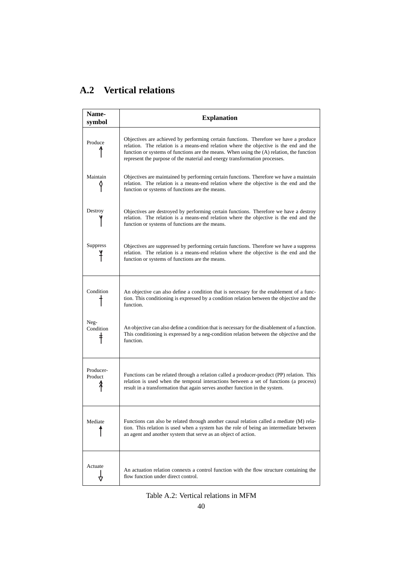### **A.2 Vertical relations**

| <b>Name-</b><br>symbol | <b>Explanation</b>                                                                                                                                                                                                                                                                                                                                       |
|------------------------|----------------------------------------------------------------------------------------------------------------------------------------------------------------------------------------------------------------------------------------------------------------------------------------------------------------------------------------------------------|
| Produce                | Objectives are achieved by performing certain functions. Therefore we have a produce<br>relation. The relation is a means-end relation where the objective is the end and the<br>function or systems of functions are the means. When using the (A) relation, the function<br>represent the purpose of the material and energy transformation processes. |
| Maintain               | Objectives are maintained by performing certain functions. Therefore we have a maintain<br>relation. The relation is a means-end relation where the objective is the end and the<br>function or systems of functions are the means.                                                                                                                      |
| Destroy                | Objectives are destroyed by performing certain functions. Therefore we have a destroy<br>relation. The relation is a means-end relation where the objective is the end and the<br>function or systems of functions are the means.                                                                                                                        |
| <b>Suppress</b>        | Objectives are suppressed by performing certain functions. Therefore we have a suppress<br>relation. The relation is a means-end relation where the objective is the end and the<br>function or systems of functions are the means.                                                                                                                      |
| Condition              | An objective can also define a condition that is necessary for the enablement of a func-<br>tion. This conditioning is expressed by a condition relation between the objective and the<br>function.                                                                                                                                                      |
| Neg-<br>Condition      | An objective can also define a condition that is necessary for the disablement of a function.<br>This conditioning is expressed by a neg-condition relation between the objective and the<br>function.                                                                                                                                                   |
| Producer-<br>Product   | Functions can be related through a relation called a producer-product (PP) relation. This<br>relation is used when the temporal interactions between a set of functions (a process)<br>result in a transformation that again serves another function in the system.                                                                                      |
| Mediate                | Functions can also be related through another causal relation called a mediate (M) rela-<br>tion. This relation is used when a system has the role of being an intermediate between<br>an agent and another system that serve as an object of action.                                                                                                    |
| Actuate<br>♡           | An actuation relation connexts a control function with the flow structure containing the<br>flow function under direct control.                                                                                                                                                                                                                          |

Table A.2: Vertical relations in MFM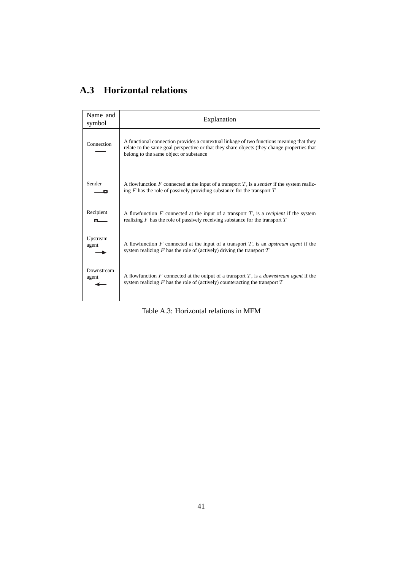### **A.3 Horizontal relations**

| Name and<br>symbol | Explanation                                                                                                                                                                                                                       |
|--------------------|-----------------------------------------------------------------------------------------------------------------------------------------------------------------------------------------------------------------------------------|
| Connection         | A functional connection provides a contextual linkage of two functions meaning that they<br>relate to the same goal perspective or that they share objects (they change properties that<br>belong to the same object or substance |
| Sender             | A flowfunction $F$ connected at the input of a transport $T$ , is a sender if the system realiz-<br>ing $F$ has the role of passively providing substance for the transport $T$                                                   |
| Recipient          | A flowfunction $F$ connected at the input of a transport $T$ , is a <i>recipient</i> if the system                                                                                                                                |
| --                 | realizing $F$ has the role of passively receiving substance for the transport $T$                                                                                                                                                 |
| Upstream           | A flowfunction F connected at the input of a transport $T$ , is an <i>upstream agent</i> if the                                                                                                                                   |
| agent              | system realizing $F$ has the role of (actively) driving the transport $T$                                                                                                                                                         |
| Downstream         | A flowfunction F connected at the output of a transport $T$ , is a <i>downstream agent</i> if the                                                                                                                                 |
| agent              | system realizing $F$ has the role of (actively) counteracting the transport $T$                                                                                                                                                   |

Table A.3: Horizontal relations in MFM